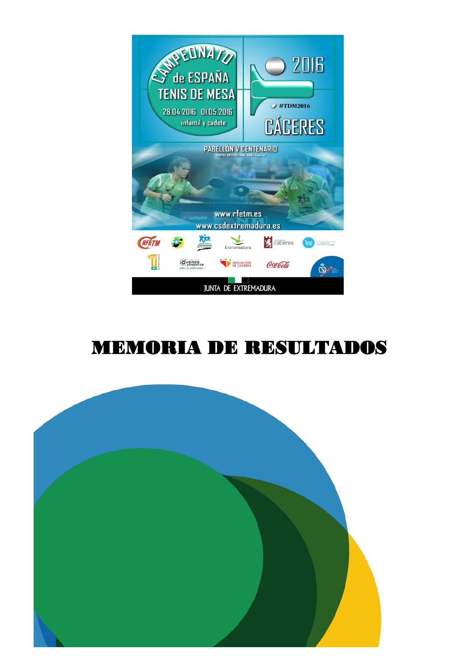

# MEMORIA DE RESULTADOS

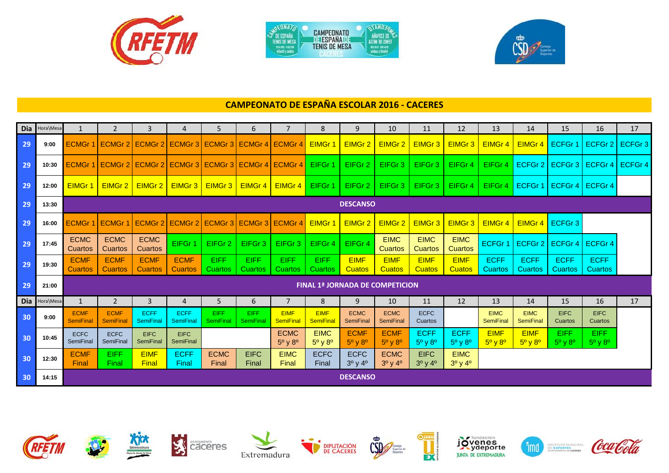

| TENIS DE NESA<br>混沌混乱 血管测量 | <b>CAMPEDNATO</b><br><b>DESPAÑA</b><br><b>TENIS DE MESA</b> | A23M 30 20VET<br>解剖血 建冷药 |
|----------------------------|-------------------------------------------------------------|--------------------------|
| infantil v cadete          |                                                             |                          |



## **CAMPEONATO DE ESPAÑA ESCOLAR 2016 - CACERES**

|                 | Dia Hora\Mesa | $\mathbf{1}$                    | 2                               | 3                             | 4                                               | 5.                        | 6                             | 7                                        | 8                                        | 9                                        | 10                                       | 11                                          | 12                                        | 13                                       | 14                                       | 15                                       | 16                                       | 17      |
|-----------------|---------------|---------------------------------|---------------------------------|-------------------------------|-------------------------------------------------|---------------------------|-------------------------------|------------------------------------------|------------------------------------------|------------------------------------------|------------------------------------------|---------------------------------------------|-------------------------------------------|------------------------------------------|------------------------------------------|------------------------------------------|------------------------------------------|---------|
| 29              | 9:00          | <b>ECMGr1</b>                   |                                 |                               | ECMGr 2 ECMGr 2 ECMGr 3 ECMGr 3 ECMGr 4 ECMGr 4 |                           |                               |                                          | <b>EIMGr1</b>                            | EIMGr 2                                  | EIMGr 2                                  | EIMGr 3                                     | EIMGr 3                                   | EIMGr 4                                  | EIMGr 4                                  | ECFGr <sup>-</sup>                       | ECFGr 2                                  | ECFGr 3 |
| 29              | 10:30         | <b>ECMGr1</b>                   |                                 |                               | ECMGr 2 ECMGr 2 ECMGr 3 ECMGr 3 ECMGr 4 ECMGr 4 |                           |                               |                                          | EIFGr 1                                  | EIFGr 2                                  | EIFGr <sub>3</sub>                       | EIFGr <sub>3</sub>                          | EIFGr 4                                   | EIFGr 4                                  | ECFGr 2                                  | ECFGr <sub>3</sub>                       | ECFGr4                                   | ECFGr 4 |
| 29              | 12:00         | EIMGr 1                         | EIMGr 2                         | EIMGr 2                       | EIMGr 3                                         | EIMGr 3                   | EIMGr 4                       | EIMGr 4                                  | EIFGr 1                                  | EIFGr 2                                  | EIFGr <sub>3</sub>                       | EIFGr <sub>3</sub>                          | EIFGr 4                                   | EIFGr 4                                  | ECFGr 1                                  |                                          | ECFGr 4   ECFGr 4                        |         |
| 29              | 13:30         |                                 |                                 |                               |                                                 |                           |                               |                                          |                                          | <b>DESCANSO</b>                          |                                          |                                             |                                           |                                          |                                          |                                          |                                          |         |
| 29              | 16:00         | <b>ECMGr</b>                    |                                 |                               | ECMGr 1 ECMGr 2 ECMGr 2 ECMGr 3 ECMGr 3 ECMGr 4 |                           |                               |                                          | EIMGr 1                                  | EIMGr 2                                  | EIMGr 2                                  | EIMGr 3                                     | EIMGr 3                                   | EIMGr 4                                  | EIMGr 4                                  | ECFGr <sub>3</sub>                       |                                          |         |
| 29              | 17:45         | <b>ECMC</b><br>Cuartos          | <b>ECMC</b><br>Cuartos          | <b>ECMC</b><br><b>Cuartos</b> | EIFGr 1                                         | EIFGr 2                   | EIFGr <sub>3</sub>            | EIFGr <sub>3</sub>                       | EIFGr 4                                  | EIFGr 4                                  | <b>EIMC</b><br><b>Cuartos</b>            | <b>EIMC</b><br>Cuartos                      | <b>EIMC</b><br><b>Cuartos</b>             | ECFGr 1                                  | ECFGr 2                                  | ECFGr 4                                  | ECFGr 4                                  |         |
| 29              | 19:30         | <b>ECMF</b><br><b>Cuartos</b>   | <b>ECMF</b><br><b>Cuartos</b>   | <b>ECMF</b><br><b>Cuartos</b> | <b>ECMF</b><br><b>Cuartos</b>                   | <b>EIFF</b><br>Cuartos    | <b>EIFF</b><br><b>Cuartos</b> | EIFF<br><b>Cuartos</b>                   | <b>EIFF</b><br><b>Cuartos</b>            | <b>EIMF</b><br><b>Cuatos</b>             | <b>EIMF</b><br><b>Cuatos</b>             | <b>EIMF</b><br><b>Cuatos</b>                | <b>EIMF</b><br><b>Cuatos</b>              | <b>ECFF</b><br>Cuartos                   | <b>ECFF</b><br>Cuartos                   | <b>ECFF</b><br>Cuartos                   | <b>ECFF</b><br><b>Cuartos</b>            |         |
| 29              | 21:00         |                                 |                                 |                               |                                                 |                           |                               |                                          |                                          |                                          | <b>FINAL 1ª JORNADA DE COMPETICION</b>   |                                             |                                           |                                          |                                          |                                          |                                          |         |
| <b>Dia</b>      | Hora\Mesa     | 1                               | 2                               | 3                             | $\overline{4}$                                  | 5                         | 6                             | $\overline{7}$                           | 8                                        | 9                                        | 10                                       | 11                                          | 12                                        | 13                                       | 14                                       | 15                                       | 16                                       | 17      |
| 30              | 9:00          | <b>ECMF</b><br><b>SemiFinal</b> | <b>ECMF</b><br><b>SemiFinal</b> | <b>ECFF</b><br>SemiFinal      | <b>ECFF</b><br>SemiFinal                        | EIFF.<br><b>SemiFinal</b> | EIFF<br><b>SemiFinal</b>      | <b>EIMF</b><br><b>SemiFinal</b>          | <b>EIMF</b><br>SemiFinal                 | <b>ECMC</b><br><b>SemiFinal</b>          | <b>ECMC</b><br>SemiFinal                 | <b>ECFC</b><br>Cuartos                      |                                           | <b>EIMC</b><br><b>SemiFinal</b>          | <b>EIMC</b><br><b>SemiFinal</b>          | <b>EIFC</b><br>Cuartos                   | <b>EIFC</b><br>Cuartos                   |         |
| 30              | 10:45         | <b>ECFC</b><br>SemiFinal        | <b>ECFC</b><br><b>SemiFinal</b> | <b>EIFC</b><br>SemiFinal      | <b>EIFC</b><br><b>SemiFinal</b>                 |                           |                               | <b>ECMC</b><br>$5^{\circ}$ v $8^{\circ}$ | <b>EIMC</b><br>$5^{\circ}$ v $8^{\circ}$ | <b>ECMF</b><br>$5^{\circ}$ v $8^{\circ}$ | <b>ECMF</b><br>$5^{\circ}$ v $8^{\circ}$ | <b>ECFF</b><br>$5^{\circ}$ y $8^{\circ}$    | <b>ECFF</b><br>$5^{\circ}$ y $8^{\circ}$  | <b>EIMF</b><br>$5^{\circ}$ y $8^{\circ}$ | <b>EIMF</b><br>$5^{\circ}$ y $8^{\circ}$ | <b>EIFF</b><br>$5^{\circ}$ v $8^{\circ}$ | <b>EIFF</b><br>$5^{\circ}$ y $8^{\circ}$ |         |
| 30              | 12:30         | <b>ECMF</b><br>Final            | <b>EIFF</b><br>Final            | <b>EIMF</b><br>Final          | <b>ECFF</b><br>Final                            | <b>ECMC</b><br>Final      | <b>EIFC</b><br>Final          | <b>EIMC</b><br>Final                     | <b>ECFC</b><br>Final                     | <b>ECFC</b><br>$3^0$ y $4^0$             | <b>ECMC</b><br>$3^0$ y 4 <sup>0</sup>    | <b>EIFC</b><br>$3^{\circ}$ y 4 <sup>o</sup> | <b>EIMC</b><br>$3^{\circ}$ y 4 $^{\circ}$ |                                          |                                          |                                          |                                          |         |
| 30 <sub>o</sub> | 14:15         |                                 |                                 |                               |                                                 |                           |                               |                                          |                                          | <b>DESCANSO</b>                          |                                          |                                             |                                           |                                          |                                          |                                          |                                          |         |

















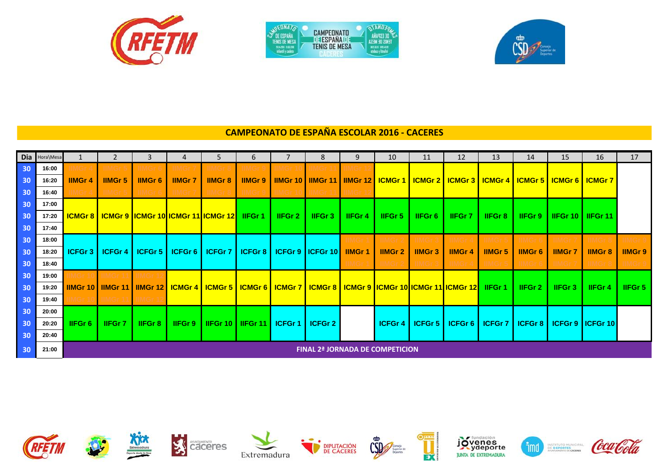

|           | <b>CAMPEDNATO</b><br><b>DESPAÑA</b> | A23M 30 2IM3T |
|-----------|-------------------------------------|---------------|
| 混沌混乱 血管测量 | <b>TENIS DE MESA</b>                | 解剖剂 建成的       |



# **CAMPEONATO DE ESPAÑA ESCOLAR 2016 - CACERES**

| Dia             | Hora\Mesa |                    |                 |                                                                                                                                           |               | 5.                  | 6              |           | 8                                                                                                           | 9             | 10            | 11            | 12            | 13                | 14             | 15                                   | 16                                   | 17              |
|-----------------|-----------|--------------------|-----------------|-------------------------------------------------------------------------------------------------------------------------------------------|---------------|---------------------|----------------|-----------|-------------------------------------------------------------------------------------------------------------|---------------|---------------|---------------|---------------|-------------------|----------------|--------------------------------------|--------------------------------------|-----------------|
| 30              | 16:00     |                    |                 |                                                                                                                                           |               |                     |                |           |                                                                                                             |               |               |               |               |                   |                |                                      |                                      |                 |
| 30              | 16:20     | <b>IIMGr4</b>      | <b>IIMGr 5</b>  | <b>IIMGr6</b>                                                                                                                             | <b>IIMGr7</b> | <b>IIMGr 8</b>      | <b>IIMGr 9</b> |           | <u>IIMGr 10   IIMGr 11   IIMGr 12   ICMGr 1   ICMGr 2   ICMGr 3   ICMGr 4   ICMGr 5   ICMGr 6   ICMGr 7</u> |               |               |               |               |                   |                |                                      |                                      |                 |
| 30              | 16:40     |                    | <b>IIMGr 5</b>  | <b>IIMGr6</b>                                                                                                                             |               | IIMGr 8             | IIMGr 9        | IIMGr 1   | IIMGr 11                                                                                                    | <b>IIIMGr</b> |               |               |               |                   |                |                                      |                                      |                 |
| 30              | 17:00     |                    |                 |                                                                                                                                           |               |                     |                |           |                                                                                                             |               |               |               |               |                   |                |                                      |                                      |                 |
| 30              | 17:20     |                    |                 | <b>ICMGr 8   ICMGr 9   ICMGr 10   ICMGr 11   ICMGr 12   IFGr 1</b>                                                                        |               |                     |                | IIFGr 2 I | <b>IIFGr3</b>                                                                                               | <b>IIFGr4</b> | IIFGr 5       | IIFGr 6       | <b>IIFGr7</b> | <b>IIFGr8</b>     |                | <b>IIFGr 9   IIFGr 10   IIFGr 11</b> |                                      |                 |
| 30              | 17:40     |                    |                 |                                                                                                                                           |               |                     |                |           |                                                                                                             |               |               |               |               |                   |                |                                      |                                      |                 |
| 30              | 18:00     |                    |                 |                                                                                                                                           |               |                     |                |           |                                                                                                             | IIMGr         | <b>IIMGr</b>  |               | IIMGr4        |                   |                |                                      |                                      |                 |
| 30              | 18:20     | ICFGr <sub>3</sub> | <b>ICFGr4</b>   | <b>ICFGr 5</b>                                                                                                                            | ICFGr 6       | <b>ICFGr 7</b>      | ICFGr8         |           | <b>ICFGr 9   ICFGr 10  </b>                                                                                 | <b>IIMGr1</b> | <b>IIMGr2</b> | <b>IIMGr3</b> | <b>IIMGr4</b> | <b>IIMGr 5</b>    | <b>IIMGr6</b>  | <b>IIMGr7</b>                        | <b>IIMGr 8</b>                       | <b>IIMGr 9</b>  |
| 30 <sub>o</sub> | 18:40     |                    |                 |                                                                                                                                           |               |                     |                |           |                                                                                                             | IIMGr         | <b>IIMGr</b>  | <b>IIMGr3</b> | <b>IIMGr4</b> | <b>IIMGr5</b>     | <b>IIMGr6</b>  | IIMGr                                | <b>IIMGr</b>                         | <b>AIMIGT 9</b> |
| 30              | 19:00     |                    |                 | IIMGr 1                                                                                                                                   |               |                     |                |           |                                                                                                             |               |               |               |               |                   |                |                                      |                                      |                 |
| 30              | 19:20     |                    |                 | <b>IIMGr 10   IIMGr 11   IIMGr 12   ICMGr 4   ICMGr 5   ICMGr 6   ICMGr 7   ICMGr 8   ICMGr 9  ICMGr 10  ICMGr 11  ICMGr 12   IIFGr 1</b> |               |                     |                |           |                                                                                                             |               |               |               |               |                   | <b>IIFGr 2</b> | <b>IIFGr3</b>                        | <b>IIFGr4</b>                        | HFGr 5          |
| 30              | 19:40     |                    | <b>IIMGr 11</b> | <b>IIMGr</b>                                                                                                                              |               |                     |                |           |                                                                                                             |               |               |               |               |                   |                |                                      |                                      |                 |
| 30              | 20:00     |                    |                 |                                                                                                                                           |               |                     |                |           |                                                                                                             |               |               |               |               |                   |                |                                      |                                      |                 |
| 30              | 20:20     | <b>IIFGr6</b>      | <b>IIFGr7</b>   | <b>IIFGr8</b>                                                                                                                             | <b>IIFGr9</b> | <b>I IIFGr 10 I</b> | l IIFGr 11 L   | ICFGr1    | ICFGr 2                                                                                                     |               | <b>ICFGr4</b> | ICFGr 5       |               | ICFGr 6   ICFGr 7 |                |                                      | <b>ICFGr 8   ICFGr 9   ICFGr 10 </b> |                 |
| 30              | 20:40     |                    |                 |                                                                                                                                           |               |                     |                |           |                                                                                                             |               |               |               |               |                   |                |                                      |                                      |                 |
| 30              | 21:00     |                    |                 |                                                                                                                                           |               |                     |                |           | <b>FINAL 2ª JORNADA DE COMPETICION</b>                                                                      |               |               |               |               |                   |                |                                      |                                      |                 |

















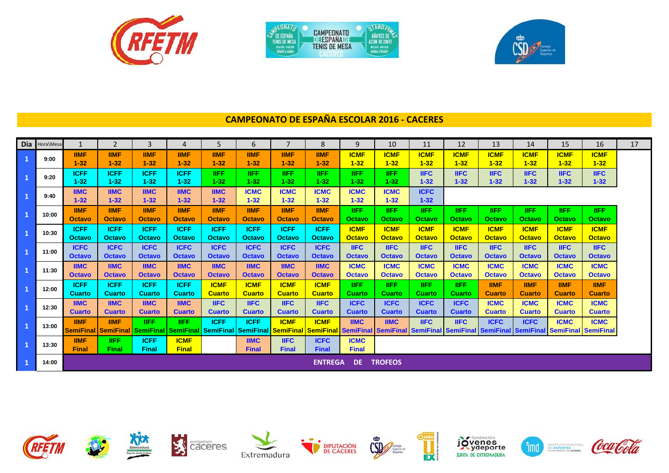

|                   | <b>CAMPEDNATO</b>    |                            |
|-------------------|----------------------|----------------------------|
| TENIS DE NESA     | <b>I JESPAÑA</b>     | DE ESPAÑA<br>A23M 30 ZIMET |
| 混沌混乱 血管测量         | <b>TENIS DE MESA</b> | 解剖的 建成的机                   |
| infantil v cadete |                      |                            |



# **CAMPEONATO DE ESPAÑA ESCOLAR 2016 - CACERES**

| Dia Hora\Mesa |                              | $\overline{2}$                                            | $\overline{3}$               | $\boldsymbol{A}$                | 5                            | 6                            | $\overline{\phantom{a}}$                                      | 8                            | 9                            | 10                           | 11                           | 12                           | 13                           | 14                                                                                                    | 15                           | 16                           | 17 |
|---------------|------------------------------|-----------------------------------------------------------|------------------------------|---------------------------------|------------------------------|------------------------------|---------------------------------------------------------------|------------------------------|------------------------------|------------------------------|------------------------------|------------------------------|------------------------------|-------------------------------------------------------------------------------------------------------|------------------------------|------------------------------|----|
| 9:00          | <b>IIMF</b><br>$1 - 32$      | <b>IIMF</b><br>$1 - 32$                                   | <b>IIMF</b><br>$1 - 32$      | <b>IIMF</b><br>$1 - 32$         | <b>IIMF</b><br>$1 - 32$      | <b>IIMF</b><br>$1 - 32$      | <b>IIMF</b><br>$1 - 32$                                       | <b>IIMF</b><br>$1 - 32$      | <b>ICMF</b><br>$1 - 32$      | <b>ICMF</b><br>$1 - 32$      | <b>ICMF</b><br>$1 - 32$      | <b>ICMF</b><br>$1 - 32$      | <b>ICMF</b><br>$1 - 32$      | <b>ICMF</b><br>$1 - 32$                                                                               | <b>ICMF</b><br>$1 - 32$      | <b>ICMF</b><br>$1 - 32$      |    |
| 9:20          | <b>ICFF</b><br>$1 - 32$      | <b>ICFF</b><br>$1 - 32$                                   | <b>ICFF</b><br>$1 - 32$      | <b>ICFF</b><br>$1 - 32$         | <b>IIFF</b><br>$1 - 32$      | <b>IIFF</b><br>$1 - 32$      | <b>IIFF</b><br>$1 - 32$                                       | <b>IIFF</b><br>$1 - 32$      | <b>IIFF</b><br>$1 - 32$      | <b>IIFF</b><br>$1 - 32$      | <b>IIFC</b><br>$1 - 32$      | <b>IIFC</b><br>$1 - 32$      | <b>IIFC</b><br>$1 - 32$      | <b>IIFC</b><br>$1 - 32$                                                                               | <b>IIFC</b><br>$1 - 32$      | <b>IIFC</b><br>$1 - 32$      |    |
| 9:40          | <b>IIMC</b><br>$1 - 32$      | <b>IIMC</b><br>$1 - 32$                                   | <b>IIMC</b><br>$1 - 32$      | <b>IIMC</b><br>$1 - 32$         | <b>IIMC</b><br>$1 - 32$      | <b>ICMC</b><br>$1 - 32$      | <b>ICMC</b><br>$1 - 32$                                       | <b>ICMC</b><br>$1 - 32$      | <b>ICMC</b><br>$1 - 32$      | <b>ICMC</b><br>$1 - 32$      | <b>ICFC</b><br>$1 - 32$      |                              |                              |                                                                                                       |                              |                              |    |
| 10:00         | <b>IIMF</b><br><b>Octavo</b> | <b>IIMF</b><br><b>Octavo</b>                              | <b>IIMF</b><br><b>Octavo</b> | <b>IIMF</b><br>Octavo           | <b>IIMF</b><br>Octavo        | <b>IIMF</b><br><b>Octavo</b> | <b>IIMF</b><br><b>Octavo</b>                                  | <b>IIMF</b><br><b>Octavo</b> | <b>IIFF</b><br>Octavo        | <b>IIFF</b><br>Octavo        | <b>IIFF</b><br>Octavo        | <b>IIFF</b><br>Octavo        | <b>IIFF</b><br><b>Octavo</b> | <b>IIFF</b><br>Octavo                                                                                 | <b>IIFF</b><br>Octavo        | <b>IIFF</b><br><b>Octavo</b> |    |
| 10:30         | <b>ICFF</b><br><b>Octavo</b> | <b>ICFF</b><br><b>Octavo</b>                              | <b>ICFF</b><br><b>Octavo</b> | <b>ICFF</b><br><b>Octavo</b>    | <b>ICFF</b><br><b>Octavo</b> | <b>ICFF</b><br><b>Octavo</b> | <b>ICFF</b><br><b>Octavo</b>                                  | <b>ICFF</b><br><b>Octavo</b> | <b>ICMF</b><br><b>Octavo</b> | <b>ICMF</b><br><b>Octavo</b> | <b>ICMF</b><br><b>Octavo</b> | <b>ICMF</b><br><b>Octavo</b> | <b>ICMF</b><br><b>Octavo</b> | <b>ICMF</b><br><b>Octavo</b>                                                                          | <b>ICMF</b><br><b>Octavo</b> | <b>ICMF</b><br><b>Octavo</b> |    |
| 11:00         | <b>ICFC</b><br><b>Octavo</b> | <b>ICFC</b><br><b>Octavo</b>                              | <b>ICFC</b><br><b>Octavo</b> | <b>ICFC</b><br><b>Octavo</b>    | <b>ICFC</b><br><b>Octavo</b> | <b>ICFC</b><br><b>Octavo</b> | <b>ICFC</b><br><b>Octavo</b>                                  | <b>ICFC</b><br><b>Octavo</b> | <b>IIFC</b><br><b>Octavo</b> | <b>IIFC</b><br><b>Octavo</b> | <b>IIFC</b><br><b>Octavo</b> | <b>IIFC</b><br><b>Octavo</b> | <b>IIFC</b><br><b>Octavo</b> | <b>IIFC</b><br><b>Octavo</b>                                                                          | <b>IIFC</b><br><b>Octavo</b> | <b>IIFC</b><br><b>Octavo</b> |    |
| 11:30         | <b>IIMC</b><br><b>Octavo</b> | <b>IIMC</b><br><b>Octavo</b>                              | <b>IIMC</b><br><b>Octavo</b> | <b>IIMC</b><br><b>Octavo</b>    | <b>IIMC</b><br><b>Octavo</b> | <b>IIMC</b><br><b>Octavo</b> | <b>IIMC</b><br><b>Octavo</b>                                  | <b>IIMC</b><br><b>Octavo</b> | <b>ICMC</b><br><b>Octavo</b> | <b>ICMC</b><br><b>Octavo</b> | <b>ICMC</b><br><b>Octavo</b> | <b>ICMC</b><br><b>Octavo</b> | <b>ICMC</b><br><b>Octavo</b> | <b>ICMC</b><br><b>Octavo</b>                                                                          | <b>ICMC</b><br><b>Octavo</b> | <b>ICMC</b><br><b>Octavo</b> |    |
| 12:00         | <b>ICFF</b><br><b>Cuarto</b> | <b>ICFF</b><br><b>Cuarto</b>                              | <b>ICFF</b><br><b>Cuarto</b> | <b>ICFF</b><br><b>Cuarto</b>    | <b>ICMF</b><br><b>Cuarto</b> | <b>ICMF</b><br><b>Cuarto</b> | <b>ICMF</b><br><b>Cuarto</b>                                  | <b>ICMF</b><br><b>Cuarto</b> | <b>IIFF</b><br><b>Cuarto</b> | <b>IIFF</b><br>Cuarto        | <b>IIFF</b><br>Cuarto        | <b>IIFF</b><br>Cuarto        | <b>IIMF</b><br><b>Cuarto</b> | <b>IIMF</b><br><b>Cuarto</b>                                                                          | <b>IIMF</b><br><b>Cuarto</b> | <b>IIMF</b><br>Cuarto        |    |
| 12:30         | <b>IIMC</b><br><b>Cuarto</b> | <b>IIMC</b><br><b>Cuarto</b>                              | <b>IIMC</b><br><b>Cuarto</b> | <b>IIMC</b><br><b>Cuarto</b>    | <b>IIFC</b><br><b>Cuarto</b> | <b>IIFC</b><br><b>Cuarto</b> | <b>IIFC</b><br><b>Cuarto</b>                                  | <b>IIFC</b><br><b>Cuarto</b> | <b>ICFC</b><br><b>Cuarto</b> | <b>ICFC</b><br><b>Cuarto</b> | <b>ICFC</b><br><b>Cuarto</b> | <b>ICFC</b><br><b>Cuarto</b> | <b>ICMC</b><br><b>Cuarto</b> | <b>ICMC</b><br><b>Cuarto</b>                                                                          | <b>ICMC</b><br><b>Cuarto</b> | <b>ICMC</b><br><b>Cuarto</b> |    |
| 13:00         | <b>IIMF</b>                  | <b>IIMF</b><br><b>SemiFinal   SemiFinal   SemiFinal  </b> | <b>IIFF</b>                  | <b>IIFF</b><br><b>SemiFinal</b> | <b>ICFF</b>                  | <b>ICFF</b>                  | <b>ICMF</b><br><b>SemiFinal SemiFinal SemiFinal SemiFinal</b> | <b>ICMF</b>                  | <b>IIMC</b>                  | <b>IIMC</b>                  | <b>IIFC</b>                  | <b>IIFC</b>                  | <b>ICFC</b>                  | <b>ICFC</b><br><b>SemiFinal SemiFinal SemiFinal SemiFinal SemiFinal SemiFinal SemiFinal SemiFinal</b> | <b>ICMC</b>                  | <b>ICMC</b>                  |    |
| 13:30         | <b>IIMF</b><br><b>Final</b>  | <b>IIFF</b><br>Final                                      | <b>ICFF</b><br>Final         | <b>ICMF</b><br><b>Final</b>     |                              | <b>IIMC</b><br><b>Final</b>  | <b>IIFC</b><br><b>Final</b>                                   | <b>ICFC</b><br><b>Final</b>  | <b>ICMC</b><br><b>Final</b>  |                              |                              |                              |                              |                                                                                                       |                              |                              |    |
| 14:00         |                              |                                                           |                              |                                 |                              |                              |                                                               | <b>ENTREGA</b>               |                              | <b>DE TROFEOS</b>            |                              |                              |                              |                                                                                                       |                              |                              |    |

















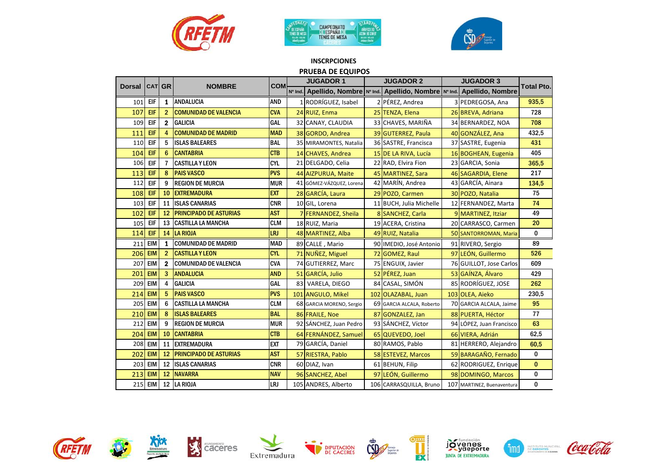





## **INSCRPCIONES**

| PRUEBA DE EQUIPOS<br><b>JUGADOR 1</b><br><b>JUGADOR 2</b><br><b>JUGADOR 3</b><br><b>CATI GR</b><br><b>NOMBRE</b><br><b>COM</b><br><b>Total Pto.</b><br><b>Dorsal</b> |            |                |                                       |            |    |                          |                 |                                                                            |  |                            |          |  |  |  |
|----------------------------------------------------------------------------------------------------------------------------------------------------------------------|------------|----------------|---------------------------------------|------------|----|--------------------------|-----------------|----------------------------------------------------------------------------|--|----------------------------|----------|--|--|--|
|                                                                                                                                                                      |            |                |                                       |            |    |                          |                 |                                                                            |  |                            |          |  |  |  |
|                                                                                                                                                                      |            |                |                                       |            |    |                          |                 | Nº Ind. Apellido, Nombre Nº Ind. Apellido, Nombre Nº Ind. Apellido, Nombre |  |                            |          |  |  |  |
| 101                                                                                                                                                                  | EIF        | 1              | <b>ANDALUCIA</b>                      | <b>AND</b> |    | 1 RODRÍGUEZ, Isabel      | 2 PÉREZ, Andrea |                                                                            |  | 3 PEDREGOSA, Ana           | 935,5    |  |  |  |
| 107                                                                                                                                                                  | EIF        | $\overline{2}$ | <b>COMUNIDAD DE VALENCIA</b>          | <b>CVA</b> |    | 24 RUIZ, Enma            |                 | 25 TENZA, Elena                                                            |  | 26 BREVA, Adriana          | 728      |  |  |  |
| 109                                                                                                                                                                  | EIF        | $\mathbf{2}$   | <b>GALICIA</b>                        | <b>GAL</b> |    | 32 CANAY, CLAUDIA        |                 | 33 CHAVES, MARIÑA                                                          |  | 34 BERNARDEZ, NOA          | 708      |  |  |  |
| 111                                                                                                                                                                  | EIF        | 4              | <b>COMUNIDAD DE MADRID</b>            | <b>MAD</b> |    | 38 GORDO, Andrea         |                 | 39 GUTERREZ, Paula                                                         |  | 40 GONZÁLEZ, Ana           | 432,5    |  |  |  |
| 110                                                                                                                                                                  | EIF        | 5              | <b>ISLAS BALEARES</b>                 | <b>BAL</b> |    | 35 MIRAMONTES, Natalia   |                 | 36 SASTRE, Francisca                                                       |  | 37 SASTRE, Eugenia         | 431      |  |  |  |
| 104                                                                                                                                                                  | EIF        | 6              | <b>CANTABRIA</b>                      | <b>CTB</b> |    | 14 CHAVES, Andrea        |                 | 15 DE LA RIVA, Lucía                                                       |  | 16 BOGHEAN, Eugenia        | 405      |  |  |  |
| 106                                                                                                                                                                  | EIF        | 7              | <b>CASTILLA Y LEON</b>                | <b>CYL</b> |    | 21 DELGADO, Celia        |                 | 22 RAD, Elvira Fion                                                        |  | 23 GARCIA, Sonia           | 365,5    |  |  |  |
| 113                                                                                                                                                                  | EIF        | 8              | <b>PAIS VASCO</b>                     | <b>PVS</b> |    | 44 AIZPURUA, Maite       |                 | 45 MARTINEZ, Sara                                                          |  | 46 SAGARDIA, Elene         | 217      |  |  |  |
| 112                                                                                                                                                                  | EIF        | 9              | <b>REGION DE MURCIA</b><br><b>MUR</b> |            |    | 41 GÓMEZ-VÁZQUEZ, Lorena |                 | 42 MARÍN, Andrea                                                           |  | 43 GARCÍA, Ainara          | 134,5    |  |  |  |
| 108                                                                                                                                                                  | EIF        | 10             | <b>EXTREMADURA</b>                    | <b>EXT</b> |    | 28 GARCÍA, Laura         |                 | 29 POZO, Carmen                                                            |  | 30 POZO, Natalia           | 75       |  |  |  |
| 103                                                                                                                                                                  | EIF        | 11             | <b>ISLAS CANARIAS</b>                 | <b>CNR</b> |    | 10 GIL, Lorena           |                 | 11 BUCH, Julia Michelle                                                    |  | 12 FERNANDEZ, Marta        | 74       |  |  |  |
| 102                                                                                                                                                                  | EIF        | 12             | <b>PRINCIPADO DE ASTURIAS</b>         | <b>AST</b> |    | 7 FERNANDEZ, Sheila      |                 | 8 SANCHEZ, Carla                                                           |  | 9 MARTINEZ, Itziar         | 49       |  |  |  |
| 105                                                                                                                                                                  | EIF        |                | <b>13 CASTILLA LA MANCHA</b>          | <b>CLM</b> |    | 18 RUIZ, Maria           |                 | 19 ACERA, Cristina                                                         |  | 20 CARRASCO, Carmen        | 20       |  |  |  |
| 114                                                                                                                                                                  | EIF        |                | 14 LA RIOJA                           | LRJ        |    | 48 MARTINEZ, Alba        |                 | 49 RUIZ, Natalia                                                           |  | 50 SANTORROMAN, Maria      | 0        |  |  |  |
| 211                                                                                                                                                                  | <b>EIM</b> | 1              | <b>COMUNIDAD DE MADRID</b>            | <b>MAD</b> |    | 89 CALLE, Mario          |                 | 90 IMEDIO, José Antonio                                                    |  | 91 RIVERO, Sergio          | 89       |  |  |  |
| 206                                                                                                                                                                  | <b>EIM</b> | $\overline{2}$ | <b>CASTILLA Y LEON</b>                | <b>CYL</b> |    | 71 NUÑEZ, Miguel         |                 | 72 GOMEZ, Raul                                                             |  | 97 LEÓN, Guillermo         | 526      |  |  |  |
| 207                                                                                                                                                                  | <b>EIM</b> | $\mathbf{2}$   | <b>COMUNIDAD DE VALENCIA</b>          | <b>CVA</b> |    | 74 GUTIERREZ, Marc       |                 | 75 ENGUIX, Javier                                                          |  | 76 GUILLOT, Jose Carlos    | 609      |  |  |  |
| 201                                                                                                                                                                  | <b>EIM</b> | 3              | <b>ANDALUCIA</b>                      | <b>AND</b> |    | 51 GARCÍA, Julio         |                 | 52 PÉREZ, Juan                                                             |  | 53 GAÍNZA, Álvaro          | 429      |  |  |  |
| 209                                                                                                                                                                  | <b>EIM</b> | 4              | <b>GALICIA</b>                        | GAL        | 83 | VARELA, DIEGO            |                 | 84 CASAL, SIMÓN                                                            |  | 85 RODRÍGUEZ, JOSE         | 262      |  |  |  |
| 214                                                                                                                                                                  | <b>EIM</b> | 5              | <b>PAIS VASCO</b>                     | <b>PVS</b> |    | 101 ANGULO, Mikel        |                 | 102 OLAZABAL, Juan                                                         |  | 103 OLEA, Aieko            | 230,5    |  |  |  |
| 205                                                                                                                                                                  | <b>EIM</b> | 6              | <b>CASTILLA LA MANCHA</b>             | <b>CLM</b> |    | 68 GARCIA MORENO, Sergio |                 | 69 GARCIA ALCALA, Roberto                                                  |  | 70 GARCIA ALCALA, Jaime    | 95       |  |  |  |
| 210                                                                                                                                                                  | <b>EIM</b> | 8              | <b>ISLAS BALEARES</b>                 | <b>BAL</b> |    | 86 FRAILE, Noe           |                 | 87 GONZALEZ, Jan                                                           |  | 88 PUERTA, Héctor          | 77       |  |  |  |
| 212                                                                                                                                                                  | <b>EIM</b> | 9              | <b>REGION DE MURCIA</b>               | <b>MUR</b> |    | 92 SÁNCHEZ, Juan Pedro   |                 | 93 SÁNCHEZ, Víctor                                                         |  | 94 LÓPEZ, Juan Francisco   | 63       |  |  |  |
| 204                                                                                                                                                                  | <b>EIM</b> | 10             | <b>CANTABRIA</b>                      | <b>CTB</b> |    | 64 FERNÁNDEZ, Samuel     |                 | 65 QUEVEDO, Joel                                                           |  | 66 VIERA, Adrián           | 62,5     |  |  |  |
| 208                                                                                                                                                                  | <b>EIM</b> | 11             | <b>EXTREMADURA</b>                    | <b>EXT</b> |    | 79 GARCÍA, Daniel        |                 | 80 RAMOS, Pablo                                                            |  | 81 HERRERO, Alejandro      | 60,5     |  |  |  |
| 202                                                                                                                                                                  | <b>EIM</b> |                | <b>12 PRINCIPADO DE ASTURIAS</b>      | <b>AST</b> |    | 57 RIESTRA, Pablo        |                 | 58 ESTEVEZ, Marcos                                                         |  | 59 BARAGAÑO, Fernado       | 0        |  |  |  |
| 203                                                                                                                                                                  | <b>EIM</b> | 12             | <b>ISLAS CANARIAS</b>                 | <b>CNR</b> |    | 60 DIAZ, Ivan            |                 | 61 BEHUN, Filip                                                            |  | 62 RODRIGUEZ, Enrique      | $\bf{0}$ |  |  |  |
| 213                                                                                                                                                                  | <b>EIM</b> |                | 12 NAVARRA                            | <b>NAV</b> |    | 96 SANCHEZ, Abel         |                 | 97 LEÓN, Guillermo                                                         |  | 98 DOMINGO, Marcos         | 0        |  |  |  |
|                                                                                                                                                                      | 215 EIM    |                | 12 LA RIOJA                           | LRJ        |    | 105 ANDRES, Alberto      |                 | 106 CARRASQUILLA, Bruno                                                    |  | 107 MARTINEZ, Buenaventura | 0        |  |  |  |

















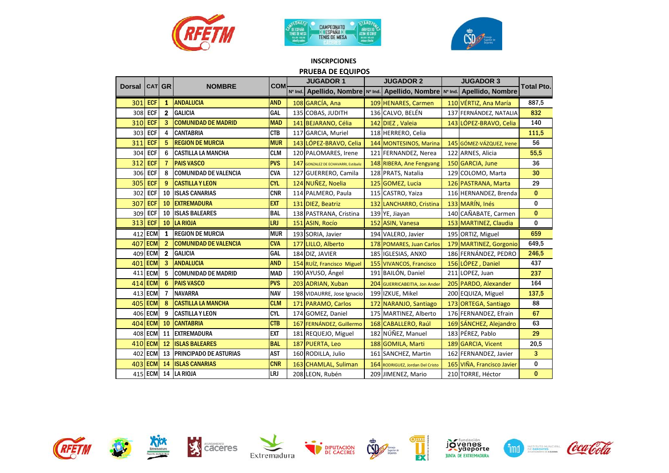





#### **INSCRPCIONES PRUEBA DE EQUIPOS**

|               |                |                |                                  |            |         | <b>JUGADOR 1</b>                     | <b>JUGADOR 2</b>                                                           | <b>JUGADOR 3</b>           |                   |
|---------------|----------------|----------------|----------------------------------|------------|---------|--------------------------------------|----------------------------------------------------------------------------|----------------------------|-------------------|
| <b>Dorsal</b> | <b>CATI GR</b> |                | <b>NOMBRE</b>                    | <b>COM</b> | Nº Ind. |                                      | Apellido, Nombre   Nº Ind.   Apellido, Nombre   Nº Ind.   Apellido, Nombre |                            | <b>Total Pto.</b> |
| 301           | <b>ECF</b>     |                | 1 ANDALUCIA                      | <b>AND</b> |         | 108 GARCÍA, Ana                      | 109 HENARES, Carmen                                                        | 110 VÉRTIZ, Ana María      | 887,5             |
| 308           | <b>ECF</b>     | 2 <sup>1</sup> | <b>GALICIA</b>                   | <b>GAL</b> |         | 135 COBAS, JUDITH                    | 136 CALVO, BELÉN                                                           | 137 FERNÁNDEZ, NATALIA     | 832               |
|               | 310 ECF        | 3              | <b>COMUNIDAD DE MADRID</b>       | <b>MAD</b> |         | 141 BEJARANO, Célia                  | 142 DIEZ, Valeia                                                           | 143 LÓPEZ-BRAVO, Celia     | 140               |
| 303           | <b>ECF</b>     | 4              | <b>CANTABRIA</b>                 | <b>CTB</b> |         | 117 GARCIA, Muriel                   | 118 HERRERO, Celia                                                         |                            | 111,5             |
| 311           | <b>ECF</b>     | 5              | <b>REGION DE MURCIA</b>          | <b>MUR</b> |         | 143 LÓPEZ-BRAVO, Celia               | 144 MONTESINOS, Marina                                                     | 145 GÓMEZ-VÁZQUEZ, Irene   | 56                |
| 304           | <b>ECF</b>     | 6              | <b>CASTILLA LA MANCHA</b>        | <b>CLM</b> |         | 120 PALOMARES, Irene                 | 121 FERNANDEZ, Nerea                                                       | 122 ARNES, Alicia          | 55,5              |
| 312           | <b>ECF</b>     |                | <b>PAIS VASCO</b>                | <b>PVS</b> |         | 147 GONZALEZ DE ECHAVARRI, Estibaliz | 148 RIBERA, Ane Fengyang                                                   | 150 GARCIA, June           | 36                |
| 306           | <b>ECF</b>     | 8              | <b>COMUNIDAD DE VALENCIA</b>     | <b>CVA</b> |         | 127 GUERRERO, Camila                 | 128 PRATS, Natalia                                                         | 129 COLOMO, Marta          | 30                |
| 305           | <b>ECF</b>     | 9              | <b>CASTILLA Y LEON</b>           | <b>CYL</b> |         | 124 NUÑEZ, Noelia                    | 125 GOMEZ, Lucia                                                           | 126 PASTRANA, Marta        | 29                |
| 302           | <b>ECF</b>     | 10             | <b>ISLAS CANARIAS</b>            | <b>CNR</b> |         | 114 PALMERO, Paula                   | 115 CASTRO, Yaiza                                                          | 116 HERNANDEZ, Brenda      | $\bf{0}$          |
| 307           | <b>ECF</b>     | 10             | <b>EXTREMADURA</b>               | <b>EXT</b> |         | 131 DIEZ, Beatriz                    | 132 LANCHARRO, Cristina                                                    | 133 MARÍN, Inés            | $\bf{0}$          |
| 309           | <b>ECF</b>     | 10             | <b>ISLAS BALEARES</b>            | <b>BAL</b> |         | 138 PASTRANA, Cristina               | 139 YE, Jiayan                                                             | 140 CAÑABATE, Carmen       | $\bf{0}$          |
| 313           | <b>ECF</b>     | 10             | LA RIOJA                         | LRJ        |         | 151 ASIN, Rocío                      | 152 ASIN, Vanesa                                                           | 153 MARTINEZ, Claudia      | 0                 |
| 412           | <b>ECM</b>     | 1              | <b>REGION DE MURCIA</b>          | <b>MUR</b> |         | 193 SORIA, Javier                    | 194 VALERO, Javier                                                         | 195 ORTIZ, Miguel          | 659               |
| 407           | <b>ECM</b>     | $\overline{c}$ | <b>COMUNIDAD DE VALENCIA</b>     | <b>CVA</b> |         | 177 LILLO, Alberto                   | 178 POMARES, Juan Carlos                                                   | 179 MARTINEZ, Gorgonio     | 649,5             |
| 409           | <b>ECM</b>     | $\mathbf{2}$   | <b>GALICIA</b>                   | GAL        |         | 184 DIZ, JAVIER                      | 185 IGLESIAS, ANXO                                                         | 186 FERNÁNDEZ, PEDRO       | 246,5             |
| 401           | <b>ECM</b>     | 3              | <b>ANDALUCIA</b>                 | <b>AND</b> |         | 154 RUÍZ, Francisco Miguel           | 155 VIVANCOS, Francisco                                                    | 156 LÓPEZ, Daniel          | 437               |
|               | 411 ECM        | 5              | <b>COMUNIDAD DE MADRID</b>       | <b>MAD</b> |         | 190 AYUSO, Ángel                     | 191 BAILÓN, Daniel                                                         | 211 LOPEZ, Juan            | 237               |
| 414           | <b>ECM</b>     | 6              | <b>PAIS VASCO</b>                | <b>PVS</b> |         | 203 ADRIAN, Xuban                    | 204 GUERRICABEITIA, Jon Ander                                              | 205 PARDO, Alexander       | 164               |
|               | 413 ECM        | 7              | <b>NAVARRA</b>                   | <b>NAV</b> |         | 198 VIDAURRE, Jose Ignacio           | 199 IZKUE, Mikel                                                           | 200 EQUIZA, Miguel         | 137,5             |
| 405           | <b>ECM</b>     | 8              | <b>CASTILLA LA MANCHA</b>        | <b>CLM</b> |         | 171 PARAMO, Carlos                   | 172 NARANJO, Santiago                                                      | 173 ORTEGA, Santiago       | 88                |
| 406           | <b>ECM</b>     | 9              | <b>CASTILLA Y LEON</b>           | <b>CYL</b> |         | 174 GOMEZ, Daniel                    | 175 MARTINEZ, Alberto                                                      | 176 FERNANDEZ, Efrain      | 67                |
| 404           | <b>ECM</b> 10  |                | <b>CANTABRIA</b>                 | <b>CTB</b> |         | 167 FERNÁNDEZ, Guillermo             | 168 CABALLERO, Raúl                                                        | 169 SÁNCHEZ, Alejandro     | 63                |
| 408           | <b>ECM</b>     | 11             | <b>EXTREMADURA</b>               | <b>EXT</b> |         | 181 REQUEJO, Miguel                  | 182 NÚÑEZ, Manuel                                                          | 183 PÉREZ, Pablo           | 29                |
| 410           | <b>ECM</b>     | 12             | <b>ISLAS BALEARES</b>            | <b>BAL</b> |         | 187 PUERTA, Leo                      | 188 GOMILA, Marti                                                          | 189 GARCIA, Vicent         | 20,5              |
| 402           | <b>ECM</b>     |                | <b>13 PRINCIPADO DE ASTURIAS</b> | <b>AST</b> |         | 160 RODILLA, Julio                   | 161 SANCHEZ, Martin                                                        | 162 FERNANDEZ, Javier      | 3                 |
| 403           | <b>ECM</b>     | 14             | <b>ISLAS CANARIAS</b>            | <b>CNR</b> |         | 163 CHAMLAL, Suliman                 | 164 RODRIGUEZ, Jordan Del Cristo                                           | 165 VIÑA, Francisco Javier | 0                 |
|               |                |                | 415 ECM 14 LA RIOJA              | LRJ        |         | 208 LEON, Rubén                      | 209 JIMENEZ, Mario                                                         | 210 TORRE, Héctor          | $\bf{0}$          |

















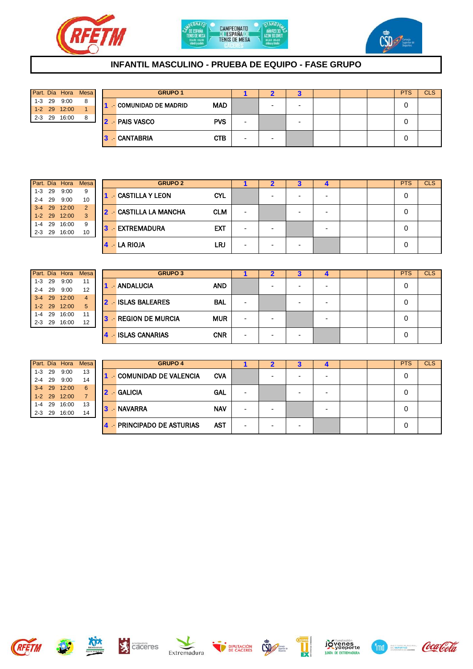





## **INFANTIL MASCULINO - PRUEBA DE EQUIPO - FASE GRUPO**

|  | Part. Día Hora Mesa |   |
|--|---------------------|---|
|  | $1-3$ 29 9:00       | 8 |
|  | 1-2 29 12:00        |   |
|  | 2-3 29 16:00        | 8 |

| Part. Día Hora |       | <b>Mesa</b> |    | <b>GRUPO 1</b>        |            |                          |   |                          |  | <b>PTS</b> | <b>CLS</b> |
|----------------|-------|-------------|----|-----------------------|------------|--------------------------|---|--------------------------|--|------------|------------|
| $1 - 3$ 29     | 9:00  | 8           |    | - COMUNIDAD DE MADRID | <b>MAD</b> |                          | - | $\overline{\phantom{0}}$ |  |            |            |
| 1-2 29 12:00   |       |             |    |                       |            |                          |   |                          |  |            |            |
| $2 - 3$ 29     | 16:00 | 8           |    | <b>2 - PAIS VASCO</b> | <b>PVS</b> | $\overline{\phantom{0}}$ |   | $\overline{\phantom{0}}$ |  |            |            |
|                |       |             |    |                       |            |                          |   |                          |  |            |            |
|                |       |             | з. | - CANTABRIA           | <b>CTB</b> | $\overline{\phantom{0}}$ | - |                          |  |            |            |

|         | Part. Día Hora | Mesa          |
|---------|----------------|---------------|
|         | 1-3 29 9:00    | 9             |
|         | 2-4 29 9:00    | 10            |
|         | 3-4 29 12:00   | $\mathcal{P}$ |
|         | 1-2 29 12:00   | 3             |
| $1 - 4$ | 29 16:00       | 9             |
| $2 - 3$ | 29 16:00       | 10            |

| Part. Día Hora |       | <b>Mesa</b>    |  | <b>GRUPO 2</b>         |            |                          |                          | o                        | −                        |  | <b>PTS</b> | <b>CLS</b> |
|----------------|-------|----------------|--|------------------------|------------|--------------------------|--------------------------|--------------------------|--------------------------|--|------------|------------|
| $1 - 3$ 29     | 9:00  | 9              |  | <b>CASTILLA Y LEON</b> | <b>CYL</b> |                          | -                        | -                        | $\overline{\phantom{0}}$ |  | 0          |            |
| $2 - 4$ 29     | 9:00  | 10             |  |                        |            |                          |                          |                          |                          |  |            |            |
| 3-4 29 12:00   |       | $\overline{2}$ |  | 2 - CASTILLA LA MANCHA | <b>CLM</b> | $\overline{\phantom{a}}$ |                          | -                        | $\overline{\phantom{0}}$ |  | 0          |            |
| 1-2 29 12:00   |       | 3              |  |                        |            |                          |                          |                          |                          |  |            |            |
| 1-4 29         | 16:00 | 9              |  | 3 - EXTREMADURA        | <b>EXT</b> |                          |                          |                          | $\overline{\phantom{a}}$ |  | 0          |            |
| $2 - 3$ 29     | 16:00 | 10             |  |                        |            | $\overline{\phantom{a}}$ | $\overline{\phantom{0}}$ |                          |                          |  |            |            |
|                |       |                |  | $4 - LA RIOJA$         | LRJ        | $\overline{\phantom{a}}$ | $\overline{\phantom{0}}$ | $\overline{\phantom{0}}$ |                          |  | 0          |            |

|  | Part. Día Hora Mesa |                         |
|--|---------------------|-------------------------|
|  | 1-3 29 9:00         | 11                      |
|  | 2-4 29 9:00         | 12                      |
|  | 3-4 29 12:00        | $\overline{\mathbf{4}}$ |
|  | 1-2 29 12:00        | 5                       |
|  | 1-4 29 16:00        | 11                      |
|  | 2-3 29 16:00        | 12                      |

|            | Part. Día | Hora         | Mesa           |              | <b>GRUPO 3</b>                 |            |                          |   |   |  | <b>PTS</b> | <b>CLS</b> |
|------------|-----------|--------------|----------------|--------------|--------------------------------|------------|--------------------------|---|---|--|------------|------------|
| 1-3        | 29        | 9:00         | 11             |              | <b>AND</b><br>- ANDALUCIA      |            |                          |   | - |  | 0          |            |
| $2 - 4$ 29 |           | 9:00         | 12             |              |                                |            |                          |   |   |  |            |            |
|            |           | 3-4 29 12:00 | $\overline{4}$ | $\mathbf{P}$ | - ISLAS BALEARES<br><b>BAL</b> |            |                          |   |   |  | 0          |            |
|            |           | 1-2 29 12:00 | 5              |              |                                |            | $\overline{\phantom{a}}$ | - | - |  |            |            |
| $1-4$ 29   |           | 16:00        | 11             | 137          | - REGION DE MURCIA             | <b>MUR</b> |                          |   |   |  | 0          |            |
| $2 - 3$ 29 |           | 16:00        | 12             |              |                                |            | $\overline{\phantom{a}}$ |   | - |  |            |            |
|            |           |              |                |              | - ISLAS CANARIAS               | <b>CNR</b> | $\overline{\phantom{a}}$ |   |   |  | 0          |            |

|  | Part. Día Hora Mesa |                |
|--|---------------------|----------------|
|  | 1-3 29 9:00         | 13             |
|  | 2-4 29 9:00         | 14             |
|  | 3-4 29 12:00        | 6              |
|  | 1-2 29 12:00        | $\overline{7}$ |
|  | 1-4 29 16:00        | 13             |
|  | 2-3 29 16:00        | 14             |

|            | Part. Día Hora | <b>Mesa</b> |   | <b>GRUPO 4</b>               |            |                          |                          |                          | ┱                        |  | <b>PTS</b> | <b>CLS</b> |
|------------|----------------|-------------|---|------------------------------|------------|--------------------------|--------------------------|--------------------------|--------------------------|--|------------|------------|
| $1 - 3$ 29 | 9:00           | 13          |   | <b>COMUNIDAD DE VALENCIA</b> | <b>CVA</b> |                          |                          | $\overline{\phantom{0}}$ | $\overline{\phantom{0}}$ |  | 0          |            |
| $2 - 4$ 29 | 9:00           | 14          |   |                              |            |                          |                          |                          |                          |  |            |            |
|            | 3-4 29 12:00   | 6           |   | 2 - GALICIA                  | <b>GAL</b> |                          |                          |                          |                          |  |            |            |
|            | 1-2 29 12:00   |             |   |                              |            |                          |                          | -                        | $\overline{\phantom{a}}$ |  | 0          |            |
| 1-4 29     | 16:00          | 13          | 3 | - NAVARRA                    | <b>NAV</b> |                          |                          |                          |                          |  |            |            |
| $2 - 3$ 29 | 16:00          | 14          |   |                              |            | $\overline{\phantom{0}}$ | -                        |                          | $\overline{\phantom{a}}$ |  | 0          |            |
|            |                |             |   | - PRINCIPADO DE ASTURIAS     | <b>AST</b> |                          | $\overline{\phantom{0}}$ | $\overline{\phantom{0}}$ |                          |  | 0          |            |











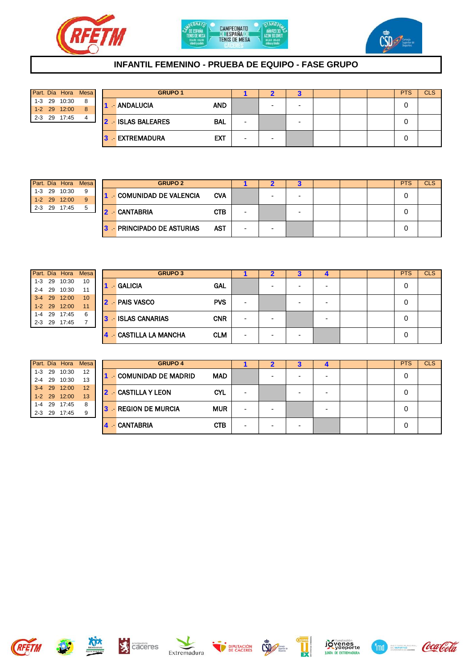





## **INFANTIL FEMENINO - PRUEBA DE EQUIPO - FASE GRUPO**

|  | Part. Día Hora Mesa |   |
|--|---------------------|---|
|  | 1-3 29 10:30        | 8 |
|  | 1-2 29 12:00        | 8 |
|  | 2-3 29 17:45        |   |

| Part. Día Hora |       | <b>Mesa</b> |  | <b>GRUPO 1</b>                          |                          |   |                          |  | <b>PTS</b> | <b>CLS</b> |
|----------------|-------|-------------|--|-----------------------------------------|--------------------------|---|--------------------------|--|------------|------------|
| $1-3$ 29       | 10:30 | 8           |  | <b>AND</b><br>- ANDALUCIA               |                          | - | $\overline{\phantom{0}}$ |  |            |            |
| 1-2 29 12:00   |       | 8           |  |                                         |                          |   |                          |  |            |            |
| $2 - 3$ 29     | 17:45 | 4           |  | <b>2 - ISLAS BALEARES</b><br><b>BAL</b> | $\overline{\phantom{0}}$ |   | $\overline{\phantom{0}}$ |  |            |            |
|                |       |             |  |                                         |                          |   |                          |  |            |            |
|                |       |             |  | <b>EXT</b><br>3 EXTREMADURA             | $\overline{\phantom{0}}$ | - |                          |  |            |            |

|     |    | Part. Día Hora | <b>Mesa</b> |
|-----|----|----------------|-------------|
|     |    | 1-3 29 10:30   |             |
|     |    | 1-2 29 12:00   |             |
| 2-3 | 29 | 17:45          |             |

|            | Part. Día Hora | Mesa I |    | <b>GRUPO 2</b>           |            |                          |   |  |  | <b>PTS</b> | <b>CLS</b> |
|------------|----------------|--------|----|--------------------------|------------|--------------------------|---|--|--|------------|------------|
| $1 - 3$ 29 | 10:30          | 9      |    | - COMUNIDAD DE VALENCIA  | <b>CVA</b> |                          |   |  |  |            |            |
|            | 1-2 29 12:00   | 9      |    |                          |            |                          |   |  |  |            |            |
| $2 - 3$ 29 | 17:45          | 5      | 12 | - CANTABRIA              | <b>CTB</b> | $\overline{\phantom{0}}$ |   |  |  |            |            |
|            |                |        |    |                          |            |                          |   |  |  |            |            |
|            |                |        |    | - PRINCIPADO DE ASTURIAS | <b>AST</b> |                          | - |  |  |            |            |

|         | Part. Día Hora Mesa |    |
|---------|---------------------|----|
|         | 1-3 29 10:30        | 10 |
|         | 2-4 29 10:30        | 11 |
|         | 3-4 29 12:00        | 10 |
|         | 1-2 29 12:00        | 11 |
|         | 1-4 29 17:45        | 6  |
| $2 - 3$ | 29 17:45            |    |

|            | Part. Día Hora | Mesa I |    | <b>GRUPO 3</b>                     |                          |                          |                          |                          |  | <b>PTS</b> | <b>CLS</b> |
|------------|----------------|--------|----|------------------------------------|--------------------------|--------------------------|--------------------------|--------------------------|--|------------|------------|
| $1 - 3$ 29 | 10:30          | 10     |    | <b>GAL</b><br>- GALICIA            |                          | -                        |                          | $\overline{\phantom{0}}$ |  | 0          |            |
| 2-4 29     | 10:30          | 11     |    |                                    |                          |                          | $\overline{\phantom{0}}$ |                          |  |            |            |
|            | 3-4 29 12:00   | 10     |    | 2 - PAIS VASCO<br><b>PVS</b>       |                          |                          |                          |                          |  |            |            |
|            | 1-2 29 12:00   | 11     |    |                                    |                          |                          | $\overline{\phantom{0}}$ | $\overline{\phantom{a}}$ |  | 0          |            |
|            | 1-4 29 17:45   | 6      | 3. | - ISLAS CANARIAS<br><b>CNR</b>     |                          |                          |                          | -                        |  |            |            |
| $2 - 3$ 29 | 17:45          |        |    |                                    | $\overline{\phantom{a}}$ |                          |                          |                          |  | O          |            |
|            |                |        |    | <b>CLM</b><br>- CASTILLA LA MANCHA | $\overline{\phantom{a}}$ | $\overline{\phantom{0}}$ | $\overline{a}$           |                          |  | U          |            |

|         | Part. Día Hora Mesa |    |
|---------|---------------------|----|
|         | 1-3 29 10:30        | 12 |
|         | 2-4 29 10:30        | 13 |
|         | 3-4 29 12:00        | 12 |
|         | 1-2 29 12:00        | 13 |
|         | 1-4 29 17:45        | 8  |
| $2 - 3$ | 29 17:45            | 9  |

|            | Part. Día Hora | Mesa I |   | <b>GRUPO 4</b>        |            |                          |                          |   |                          |  | <b>PTS</b> | <b>CLS</b> |
|------------|----------------|--------|---|-----------------------|------------|--------------------------|--------------------------|---|--------------------------|--|------------|------------|
| $1 - 3$ 29 | 10:30          | 12     |   | - COMUNIDAD DE MADRID | <b>MAD</b> |                          | -                        |   |                          |  |            |            |
| 2-4 29     | 10:30          | 13     |   |                       |            |                          |                          | - | $\overline{\phantom{0}}$ |  |            |            |
|            | 3-4 29 12:00   | 12     |   | 2 - CASTILLA Y LEON   | <b>CYL</b> |                          |                          |   |                          |  |            |            |
|            | 1-2 29 12:00   | 13     |   |                       |            | -                        |                          | - | -                        |  |            |            |
| 1-4 29     | 17:45          | 8      | 3 | - REGION DE MURCIA    | <b>MUR</b> |                          |                          |   |                          |  |            |            |
| $2 - 3$ 29 | 17:45          | 9      |   |                       |            | $\overline{\phantom{a}}$ | -                        |   | -                        |  |            |            |
|            |                |        | 4 | - CANTABRIA           | <b>CTB</b> | $\overline{\phantom{0}}$ | $\overline{\phantom{0}}$ | - |                          |  |            |            |















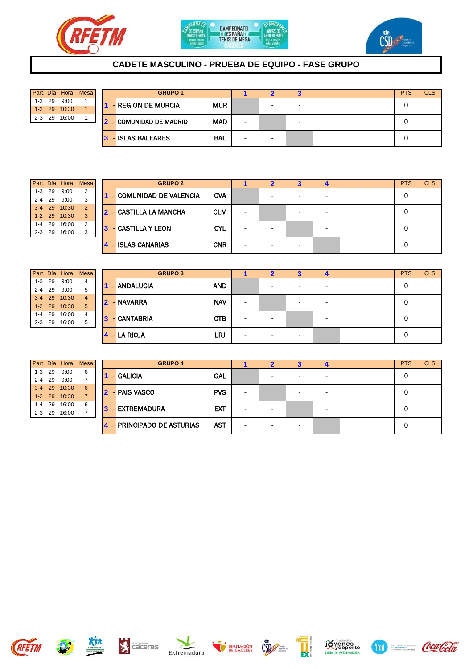





## **CADETE MASCULINO - PRUEBA DE EQUIPO - FASE GRUPO**

|  | Part. Día Hora Mesa |  |
|--|---------------------|--|
|  | $1-3$ 29 9:00       |  |
|  | 1-2 29 10:30        |  |
|  | 2-3 29 16:00        |  |

| Part. Día Hora |       | Mesa |  | <b>GRUPO 1</b>          |            |                          |   |                          |  | <b>PTS</b> | <b>CLS</b> |
|----------------|-------|------|--|-------------------------|------------|--------------------------|---|--------------------------|--|------------|------------|
| $1 - 3$ 29     | 9:00  |      |  | - REGION DE MURCIA      | <b>MUR</b> |                          | - | $\overline{\phantom{0}}$ |  |            |            |
| 1-2 29 10:30   |       |      |  |                         |            |                          |   |                          |  |            |            |
| $2 - 3$ 29     | 16:00 |      |  | 2 - COMUNIDAD DE MADRID | <b>MAD</b> | $\overline{\phantom{0}}$ |   | $\overline{\phantom{0}}$ |  |            |            |
|                |       |      |  |                         |            |                          |   |                          |  |            |            |
|                |       |      |  | <b>3 ISLAS BALEARES</b> | <b>BAL</b> | $\overline{\phantom{0}}$ | - |                          |  |            |            |

|         | Part. Día Hora | Mesa           |
|---------|----------------|----------------|
|         | 1-3 29 9:00    | $\overline{2}$ |
|         | 2-4 29 9:00    | 3              |
|         | 3-4 29 10:30   | $\overline{2}$ |
|         | 1-2 29 10:30   | 3              |
|         | 1-4 29 16:00   | $\overline{2}$ |
| $2 - 3$ | 29 16:00       | З              |

| Part. Día Hora |       | <b>Mesa</b>    |    | <b>GRUPO 2</b>              |            |  |  |  | <b>PTS</b> | <b>CLS</b> |
|----------------|-------|----------------|----|-----------------------------|------------|--|--|--|------------|------------|
| $1 - 3$ 29     | 9:00  | 2              |    | - COMUNIDAD DE VALENCIA     | <b>CVA</b> |  |  |  | 0          |            |
| $2 - 4$ 29     | 9:00  | 3              |    |                             |            |  |  |  |            |            |
| 3-4 29 10:30   |       | $\overline{2}$ |    | <b>2</b> CASTILLA LA MANCHA | <b>CLM</b> |  |  |  | 0          |            |
| 1-2 29 10:30   |       | 3              |    |                             |            |  |  |  |            |            |
| 1-4 29         | 16:00 | $\overline{2}$ | 31 | <b>CASTILLA Y LEON</b>      | <b>CYL</b> |  |  |  | 0          |            |
| $2 - 3$ 29     | 16:00 | 3              |    |                             |            |  |  |  |            |            |
|                |       |                |    | - ISLAS CANARIAS            | <b>CNR</b> |  |  |  | 0          |            |

|  | Part. Día Hora Mesa |   |
|--|---------------------|---|
|  | 1-3 29 9:00         | 4 |
|  | 2-4 29 9:00         | 5 |
|  | 3-4 29 10:30        | 4 |
|  | 1-2 29 10:30        | 5 |
|  | 1-4 29 16:00        | 4 |
|  | 2-3 29 16:00        | 5 |

|  | Part. Día Hora Mesa |                |
|--|---------------------|----------------|
|  | $1-3$ 29 9:00       | 6              |
|  | $2 - 4$ 29 9:00     | $\overline{7}$ |
|  | 3-4 29 10:30        | 6              |
|  | 1-2 29 10:30        | $\overline{7}$ |
|  | 1-4 29 16:00        | 6              |
|  | 2-3 29 16:00        |                |

|            | Part. Día Hora | <b>Mesa</b> |     | <b>GRUPO 3</b>   |            |                          |   |   |  | <b>PTS</b> | <b>CLS</b> |
|------------|----------------|-------------|-----|------------------|------------|--------------------------|---|---|--|------------|------------|
| $1-3$ 29   | 9:00           | 4           |     | - ANDALUCIA      | <b>AND</b> |                          | - | ۰ |  |            |            |
| $2 - 4$ 29 | 9:00           | 5           |     |                  |            |                          |   |   |  |            |            |
|            | 3-4 29 10:30   | 4           |     | 2 - NAVARRA      | <b>NAV</b> |                          |   |   |  | 0          |            |
|            | 1-2 29 10:30   | 5           |     |                  |            | $\overline{\phantom{0}}$ |   |   |  |            |            |
| $1-4$ 29   | 16:00          | 4           | 13. | <b>CANTABRIA</b> | <b>CTB</b> |                          |   |   |  | 0          |            |
| $2 - 3$ 29 | 16:00          | 5           |     |                  |            | $\overline{\phantom{0}}$ |   |   |  |            |            |
|            |                |             |     | $4 - LA RIOJA$   | LRJ        | $\overline{\phantom{0}}$ |   |   |  | 0          |            |

| Part. Día Hora |       | Mesa | <b>GRUPO 4</b>           |            |                          |                |                          |                          |  | <b>PTS</b> | <b>CLS</b> |
|----------------|-------|------|--------------------------|------------|--------------------------|----------------|--------------------------|--------------------------|--|------------|------------|
| $1 - 3$ 29     | 9:00  | 6    | $-$ GALICIA              | GAL        |                          | -              | $\overline{\phantom{0}}$ | -                        |  |            |            |
| $2 - 4$ 29     | 9:00  |      |                          |            |                          |                |                          |                          |  |            |            |
| 3-4 29 10:30   |       | 6    | 2 - PAIS VASCO           | <b>PVS</b> |                          |                |                          |                          |  |            |            |
| 1-2 29 10:30   |       |      |                          |            | $\overline{\phantom{0}}$ |                | -                        | -                        |  |            |            |
| 1-4 29         | 16:00 | 6    | 3 EXTREMADURA            | <b>EXT</b> |                          | -              |                          |                          |  |            |            |
| $2 - 3$ 29     | 16:00 |      |                          |            | $\overline{\phantom{0}}$ |                |                          | $\overline{\phantom{0}}$ |  |            |            |
|                |       |      | - PRINCIPADO DE ASTURIAS | <b>AST</b> | $\overline{\phantom{0}}$ | $\overline{a}$ | $\overline{\phantom{0}}$ |                          |  |            |            |













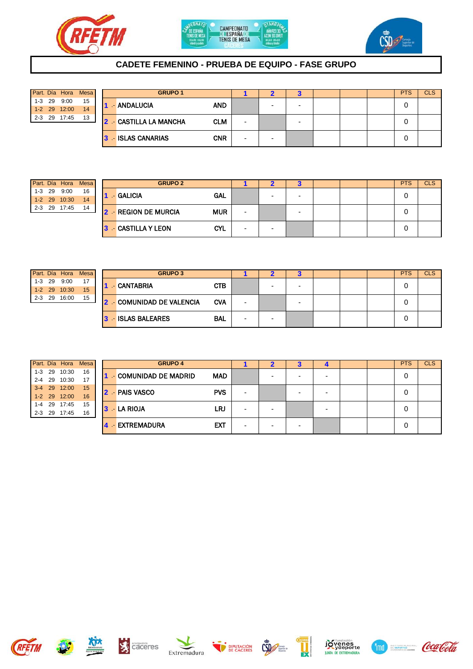





## **CADETE FEMENINO - PRUEBA DE EQUIPO - FASE GRUPO**

|         |            | Part. Día Hora Mesa |    |
|---------|------------|---------------------|----|
|         | $1 - 3$ 29 | 9:00                | 15 |
|         |            | 1-2 29 12:00        | 14 |
| $2 - 3$ | 29         | 17:45               | 13 |

| Part. Día Hora |       | <b>Mesa</b> | <b>GRUPO 1</b> |                               |            |                          |   |                          |  | <b>PTS</b> | <b>CLS</b> |
|----------------|-------|-------------|----------------|-------------------------------|------------|--------------------------|---|--------------------------|--|------------|------------|
| $1-3$ 29       | 9:00  | 15          |                | - ANDALUCIA                   | <b>AND</b> |                          | - | $\overline{\phantom{0}}$ |  |            |            |
| 1-2 29 12:00   |       | 14          |                |                               |            |                          |   |                          |  |            |            |
| $2 - 3$ 29     | 17:45 | 13          |                | <b>2 - CASTILLA LA MANCHA</b> | <b>CLM</b> | $\overline{\phantom{0}}$ |   | $\overline{\phantom{0}}$ |  |            |            |
|                |       |             |                |                               |            |                          |   |                          |  |            |            |
|                |       |             |                | <b>3</b> ISLAS CANARIAS       | <b>CNR</b> | $\overline{\phantom{0}}$ | - |                          |  |            |            |

|         |    | Part. Día Hora | <b>Mesa</b> |
|---------|----|----------------|-------------|
| 1-3     | 29 | 9:00           | 16          |
| $1 - 2$ |    | 29 10:30       |             |
| 2-3     | 29 | 17:45          |             |

|            |          | Part. Día Hora | <b>Mesa</b> | <b>GRUPO 2</b>       |                           |                          |   | o |  | <b>PTS</b> | <b>CLS</b> |
|------------|----------|----------------|-------------|----------------------|---------------------------|--------------------------|---|---|--|------------|------------|
|            | $1-3$ 29 | 9:00           | 16          |                      | $-$ GALICIA<br><b>GAL</b> |                          |   |   |  | 0          |            |
|            |          | 1-2 29 10:30   | 14          |                      |                           |                          |   |   |  |            |            |
| $2 - 3$ 29 |          | 17:45          | 14          | 2 - REGION DE MURCIA | <b>MUR</b>                | $\overline{\phantom{0}}$ |   |   |  | 0          |            |
|            |          |                |             | - CASTILLA Y LEON    | <b>CYL</b>                | $\overline{\phantom{0}}$ | - |   |  | 0          |            |

|     |            |              | Part. Día Hora Mesa |
|-----|------------|--------------|---------------------|
|     | $1 - 3$ 29 | 9:00         |                     |
|     |            | 1-2 29 10:30 | 15                  |
| 2-3 | 29         | 16:00        | 15                  |

| Part. Día Hora           |       | <b>Mesa</b> | <b>GRUPO 3</b> |                                |            |   |  |  | <b>PTS</b> | <b>CLS</b> |
|--------------------------|-------|-------------|----------------|--------------------------------|------------|---|--|--|------------|------------|
| $1-3$ 29<br>1-2 29 10:30 | 9:00  | 17<br>15    |                | - CANTABRIA                    | <b>CTB</b> |   |  |  |            |            |
| $2 - 3$ 29               | 16:00 | 15          |                | <b>2</b> COMUNIDAD DE VALENCIA | <b>CVA</b> | - |  |  |            |            |
|                          |       |             |                | 3 - ISLAS BALEARES             | <b>BAL</b> | - |  |  | 0          |            |

|  | Part. Día Hora Mesa |    |
|--|---------------------|----|
|  | 1-3 29 10:30        | 16 |
|  | 2-4 29 10:30        | 17 |
|  | 3-4 29 12:00        | 15 |
|  | 1-2 29 12:00        | 16 |
|  | 1-4 29 17:45        | 15 |
|  | 2-3 29 17:45        | 16 |

|            | Part. Día Hora | Mesa |                         | <b>GRUPO 4</b> |                       |            |                          |   | P | - 1 |  | <b>PTS</b> | <b>CLS</b> |
|------------|----------------|------|-------------------------|----------------|-----------------------|------------|--------------------------|---|---|-----|--|------------|------------|
| $1 - 3$ 29 | 10:30          | 16   |                         |                | - COMUNIDAD DE MADRID | <b>MAD</b> |                          |   |   | -   |  | 0          |            |
| $2 - 4$ 29 | 10:30          | 17   |                         |                |                       |            |                          |   |   |     |  |            |            |
| $3-4$ 29   | 12:00          | 15   | $\overline{\mathbf{z}}$ |                | - PAIS VASCO          | <b>PVS</b> | -                        |   |   | -   |  | 0          |            |
| $1 - 2$ 29 | 12:00          | 16   |                         |                |                       |            |                          |   |   |     |  |            |            |
| 1-4 29     | 17:45          | 15   |                         |                | $3 - LA RIOJA$        | LRJ        |                          |   |   |     |  | 0          |            |
| $2 - 3$ 29 | 17:45          | 16   |                         |                |                       |            | -                        |   |   | -   |  |            |            |
|            |                |      |                         | æ.             | <b>EXTREMADURA</b>    | <b>EXT</b> | $\overline{\phantom{0}}$ | ۰ |   |     |  | 0          |            |

















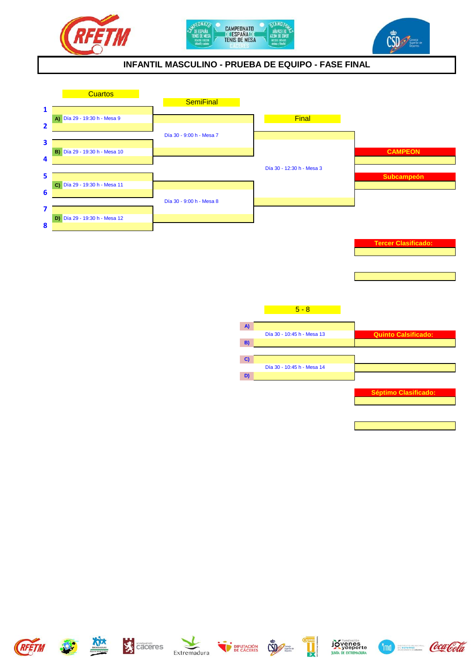





## **INFANTIL MASCULINO - PRUEBA DE EQUIPO - FASE FINAL**



















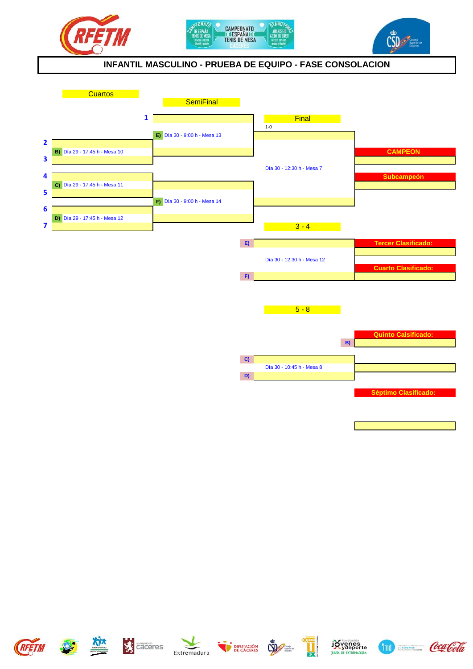





#### **INFANTIL MASCULINO - PRUEBA DE EQUIPO - FASE CONSOLACION**



















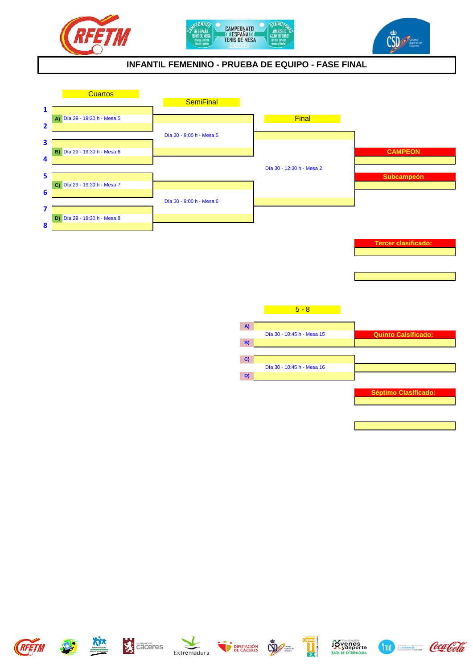





## **INFANTIL FEMENINO - PRUEBA DE EQUIPO - FASE FINAL**



















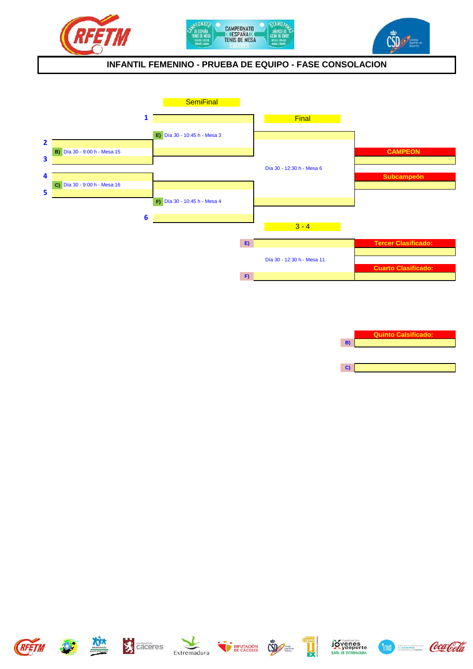





#### **INFANTIL FEMENINO - PRUEBA DE EQUIPO - FASE CONSOLACION**



**Quinto Calsificado:**

**B)**

**C)**

















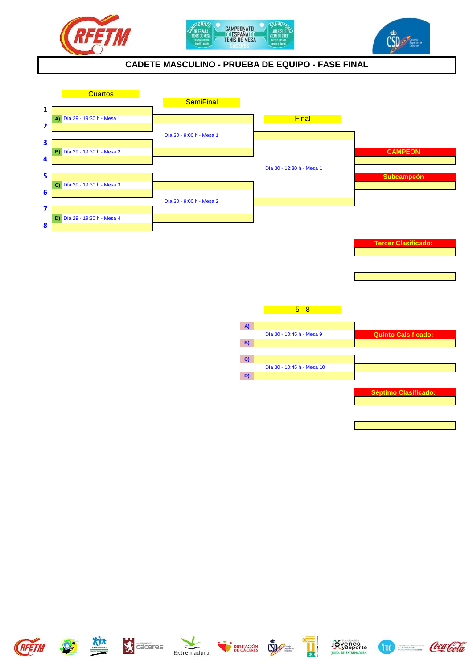





## **CADETE MASCULINO - PRUEBA DE EQUIPO - FASE FINAL**



















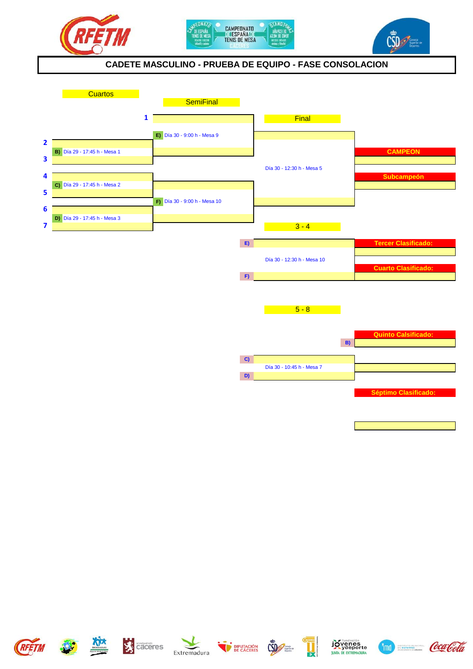





### **CADETE MASCULINO - PRUEBA DE EQUIPO - FASE CONSOLACION**



















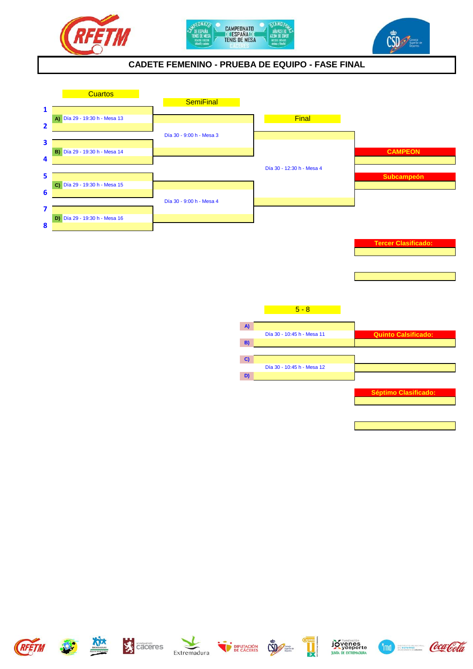





## **CADETE FEMENINO - PRUEBA DE EQUIPO - FASE FINAL**